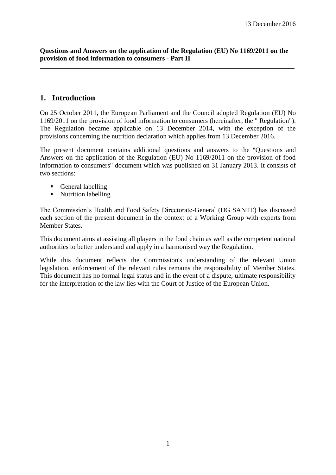**Questions and Answers on the application of the Regulation (EU) No 1169/2011 on the provision of food information to consumers - Part II**

# **1. Introduction**

On 25 October 2011, the European Parliament and the Council adopted Regulation (EU) No 1169/2011 on the provision of food information to consumers (hereinafter, the " Regulation"). The Regulation became applicable on 13 December 2014, with the exception of the provisions concerning the nutrition declaration which applies from 13 December 2016.

The present document contains additional questions and answers to the "Questions and Answers on the application of the Regulation (EU) No 1169/2011 on the provision of food information to consumers" document which was published on 31 January 2013. It consists of two sections:

- General labelling
- Nutrition labelling

The Commission's Health and Food Safety Directorate-General (DG SANTE) has discussed each section of the present document in the context of a Working Group with experts from Member States.

This document aims at assisting all players in the food chain as well as the competent national authorities to better understand and apply in a harmonised way the Regulation.

While this document reflects the Commission's understanding of the relevant Union legislation, enforcement of the relevant rules remains the responsibility of Member States. This document has no formal legal status and in the event of a dispute, ultimate responsibility for the interpretation of the law lies with the Court of Justice of the European Union.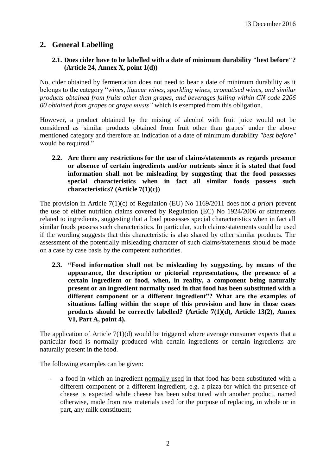# **2. General Labelling**

# **2.1. Does cider have to be labelled with a date of minimum durability "best before"? (Article 24, Annex X, point 1(d))**

No, cider obtained by fermentation does not need to bear a date of minimum durability as it belongs to the category "*wines, liqueur wines, sparkling wines, aromatised wines, and similar products obtained from fruits other than grapes, and beverages falling within CN code 2206 00 obtained from grapes or grape musts"* which is exempted from this obligation.

However, a product obtained by the mixing of alcohol with fruit juice would not be considered as 'similar products obtained from fruit other than grapes' under the above mentioned category and therefore an indication of a date of minimum durability *"best before"* would be required."

**2.2. Are there any restrictions for the use of claims/statements as regards presence or absence of certain ingredients and/or nutrients since it is stated that food information shall not be misleading by suggesting that the food possesses special characteristics when in fact all similar foods possess such characteristics? (Article 7(1)(c))** 

The provision in Article 7(1)(c) of Regulation (EU) No 1169/2011 does not *a priori* prevent the use of either nutrition claims covered by Regulation (EC) No 1924/2006 or statements related to ingredients, suggesting that a food possesses special characteristics when in fact all similar foods possess such characteristics. In particular, such claims/statements could be used if the wording suggests that this characteristic is also shared by other similar products. The assessment of the potentially misleading character of such claims/statements should be made on a case by case basis by the competent authorities.

**2.3. "Food information shall not be misleading by suggesting, by means of the appearance, the description or pictorial representations, the presence of a certain ingredient or food, when, in reality, a component being naturally present or an ingredient normally used in that food has been substituted with a different component or a different ingredient"? What are the examples of situations falling within the scope of this provision and how in those cases products should be correctly labelled? (Article 7(1)(d), Article 13(2), Annex VI, Part A, point 4).**

The application of Article  $7(1)(d)$  would be triggered where average consumer expects that a particular food is normally produced with certain ingredients or certain ingredients are naturally present in the food.

The following examples can be given:

a food in which an ingredient normally used in that food has been substituted with a different component or a different ingredient, e.g. a pizza for which the presence of cheese is expected while cheese has been substituted with another product, named otherwise, made from raw materials used for the purpose of replacing, in whole or in part, any milk constituent;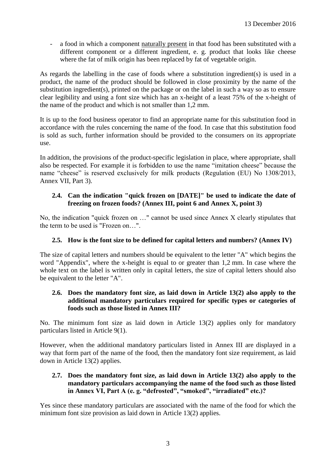a food in which a component naturally present in that food has been substituted with a different component or a different ingredient, e. g. product that looks like cheese where the fat of milk origin has been replaced by fat of vegetable origin.

As regards the labelling in the case of foods where a substitution ingredient(s) is used in a product, the name of the product should be followed in close proximity by the name of the substitution ingredient(s), printed on the package or on the label in such a way so as to ensure clear legibility and using a font size which has an x-height of a least 75% of the x-height of the name of the product and which is not smaller than 1,2 mm.

It is up to the food business operator to find an appropriate name for this substitution food in accordance with the rules concerning the name of the food. In case that this substitution food is sold as such, further information should be provided to the consumers on its appropriate use.

In addition, the provisions of the product-specific legislation in place, where appropriate, shall also be respected. For example it is forbidden to use the name "imitation cheese" because the name "cheese" is reserved exclusively for milk products (Regulation (EU) No 1308/2013, Annex VII, Part 3).

## **2.4. Can the indication "quick frozen on [DATE]" be used to indicate the date of freezing on frozen foods? (Annex III, point 6 and Annex X, point 3)**

No, the indication "quick frozen on …" cannot be used since Annex X clearly stipulates that the term to be used is "Frozen on…".

# **2.5. How is the font size to be defined for capital letters and numbers? (Annex IV)**

The size of capital letters and numbers should be equivalent to the letter "A" which begins the word "Appendix", where the x-height is equal to or greater than 1,2 mm. In case where the whole text on the label is written only in capital letters, the size of capital letters should also be equivalent to the letter "A".

### **2.6. Does the mandatory font size, as laid down in Article 13(2) also apply to the additional mandatory particulars required for specific types or categories of foods such as those listed in Annex III?**

No. The minimum font size as laid down in Article 13(2) applies only for mandatory particulars listed in Article 9(1).

However, when the additional mandatory particulars listed in Annex III are displayed in a way that form part of the name of the food, then the mandatory font size requirement, as laid down in Article 13(2) applies.

#### **2.7. Does the mandatory font size, as laid down in Article 13(2) also apply to the mandatory particulars accompanying the name of the food such as those listed in Annex VI, Part A (e. g. "defrosted", "smoked", "irradiated" etc.)?**

Yes since these mandatory particulars are associated with the name of the food for which the minimum font size provision as laid down in Article 13(2) applies.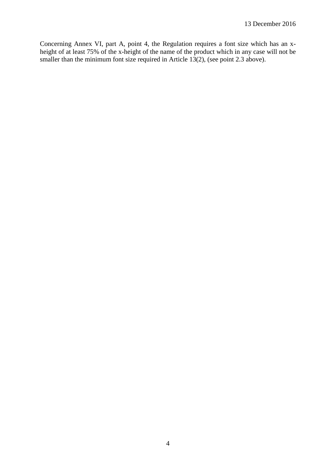Concerning Annex VI, part A, point 4, the Regulation requires a font size which has an xheight of at least 75% of the x-height of the name of the product which in any case will not be smaller than the minimum font size required in Article 13(2), (see point 2.3 above).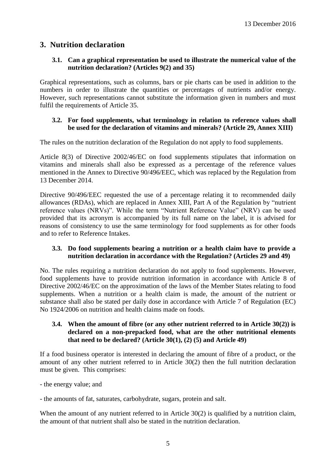# **3. Nutrition declaration**

## **3.1. Can a graphical representation be used to illustrate the numerical value of the nutrition declaration? (Articles 9(2) and 35)**

Graphical representations, such as columns, bars or pie charts can be used in addition to the numbers in order to illustrate the quantities or percentages of nutrients and/or energy. However, such representations cannot substitute the information given in numbers and must fulfil the requirements of Article 35.

## **3.2. For food supplements, what terminology in relation to reference values shall be used for the declaration of vitamins and minerals? (Article 29, Annex XIII)**

The rules on the nutrition declaration of the Regulation do not apply to food supplements.

Article 8(3) of Directive 2002/46/EC on food supplements stipulates that information on vitamins and minerals shall also be expressed as a percentage of the reference values mentioned in the Annex to Directive 90/496/EEC, which was replaced by the Regulation from 13 December 2014.

Directive 90/496/EEC requested the use of a percentage relating it to recommended daily allowances (RDAs), which are replaced in Annex XIII, Part A of the Regulation by "nutrient reference values (NRVs)". While the term "Nutrient Reference Value" (NRV) can be used provided that its acronym is accompanied by its full name on the label, it is advised for reasons of consistency to use the same terminology for food supplements as for other foods and to refer to Reference Intakes.

### **3.3. Do food supplements bearing a nutrition or a health claim have to provide a nutrition declaration in accordance with the Regulation? (Articles 29 and 49)**

No. The rules requiring a nutrition declaration do not apply to food supplements. However, food supplements have to provide nutrition information in accordance with Article 8 of Directive 2002/46/EC on the approximation of the laws of the Member States relating to food supplements. When a nutrition or a health claim is made, the amount of the nutrient or substance shall also be stated per daily dose in accordance with Article 7 of Regulation (EC) No 1924/2006 on nutrition and health claims made on foods.

#### **3.4. When the amount of fibre (or any other nutrient referred to in Article 30(2)) is declared on a non-prepacked food, what are the other nutritional elements that need to be declared? (Article 30(1), (2) (5) and Article 49)**

If a food business operator is interested in declaring the amount of fibre of a product, or the amount of any other nutrient referred to in Article 30(2) then the full nutrition declaration must be given. This comprises:

- the energy value; and

- the amounts of fat, saturates, carbohydrate, sugars, protein and salt.

When the amount of any nutrient referred to in Article 30(2) is qualified by a nutrition claim, the amount of that nutrient shall also be stated in the nutrition declaration.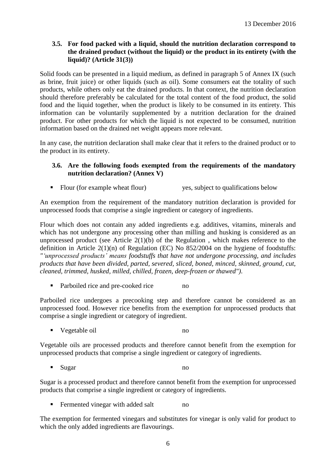## **3.5. For food packed with a liquid, should the nutrition declaration correspond to the drained product (without the liquid) or the product in its entirety (with the liquid)? (Article 31(3))**

Solid foods can be presented in a liquid medium, as defined in paragraph 5 of Annex IX (such as brine, fruit juice) or other liquids (such as oil). Some consumers eat the totality of such products, while others only eat the drained products. In that context, the nutrition declaration should therefore preferably be calculated for the total content of the food product, the solid food and the liquid together, when the product is likely to be consumed in its entirety. This information can be voluntarily supplemented by a nutrition declaration for the drained product. For other products for which the liquid is not expected to be consumed, nutrition information based on the drained net weight appears more relevant.

In any case, the nutrition declaration shall make clear that it refers to the drained product or to the product in its entirety.

#### **3.6. Are the following foods exempted from the requirements of the mandatory nutrition declaration? (Annex V)**

• Flour (for example wheat flour) yes, subject to qualifications below

An exemption from the requirement of the mandatory nutrition declaration is provided for unprocessed foods that comprise a single ingredient or category of ingredients.

Flour which does not contain any added ingredients e.g. additives, vitamins, minerals and which has not undergone any processing other than milling and husking is considered as an unprocessed product (see Article  $2(1)(b)$  of the Regulation, which makes reference to the definition in Article  $2(1)(n)$  of Regulation (EC) No 852/2004 on the hygiene of foodstuffs: *"'unprocessed products' means foodstuffs that have not undergone processing, and includes products that have been divided, parted, severed, sliced, boned, minced, skinned, ground, cut, cleaned, trimmed, husked, milled, chilled, frozen, deep-frozen or thawed")*.

• Parboiled rice and pre-cooked rice no

Parboiled rice undergoes a precooking step and therefore cannot be considered as an unprocessed food. However rice benefits from the exemption for unprocessed products that comprise a single ingredient or category of ingredient.

vegetable oil no

Vegetable oils are processed products and therefore cannot benefit from the exemption for unprocessed products that comprise a single ingredient or category of ingredients.

■ Sugar no

Sugar is a processed product and therefore cannot benefit from the exemption for unprocessed products that comprise a single ingredient or category of ingredients.

**Fermented vinegar with added salt no** 

The exemption for fermented vinegars and substitutes for vinegar is only valid for product to which the only added ingredients are flavourings.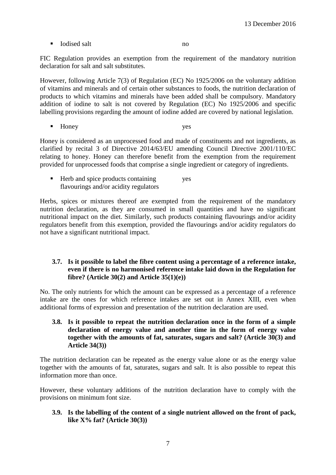$\blacksquare$  Iodised salt no

FIC Regulation provides an exemption from the requirement of the mandatory nutrition declaration for salt and salt substitutes.

However, following Article 7(3) of Regulation (EC) No 1925/2006 on the voluntary addition of vitamins and minerals and of certain other substances to foods, the nutrition declaration of products to which vitamins and minerals have been added shall be compulsory. Mandatory addition of iodine to salt is not covered by Regulation (EC) No 1925/2006 and specific labelling provisions regarding the amount of iodine added are covered by national legislation.

■ Honey yes

Honey is considered as an unprocessed food and made of constituents and not ingredients, as clarified by recital 3 of Directive 2014/63/EU amending Council Directive 2001/110/EC relating to honey. Honey can therefore benefit from the exemption from the requirement provided for unprocessed foods that comprise a single ingredient or category of ingredients.

■ Herb and spice products containing yes flavourings and/or acidity regulators

Herbs, spices or mixtures thereof are exempted from the requirement of the mandatory nutrition declaration, as they are consumed in small quantities and have no significant nutritional impact on the diet. Similarly, such products containing flavourings and/or acidity regulators benefit from this exemption, provided the flavourings and/or acidity regulators do not have a significant nutritional impact.

#### **3.7. Is it possible to label the fibre content using a percentage of a reference intake, even if there is no harmonised reference intake laid down in the Regulation for fibre? (Article 30(2) and Article 35(1)(e))**

No. The only nutrients for which the amount can be expressed as a percentage of a reference intake are the ones for which reference intakes are set out in Annex XIII, even when additional forms of expression and presentation of the nutrition declaration are used.

**3.8. Is it possible to repeat the nutrition declaration once in the form of a simple declaration of energy value and another time in the form of energy value together with the amounts of fat, saturates, sugars and salt? (Article 30(3) and Article 34(3))**

The nutrition declaration can be repeated as the energy value alone or as the energy value together with the amounts of fat, saturates, sugars and salt. It is also possible to repeat this information more than once.

However, these voluntary additions of the nutrition declaration have to comply with the provisions on minimum font size.

#### **3.9. Is the labelling of the content of a single nutrient allowed on the front of pack, like X% fat? (Article 30(3))**